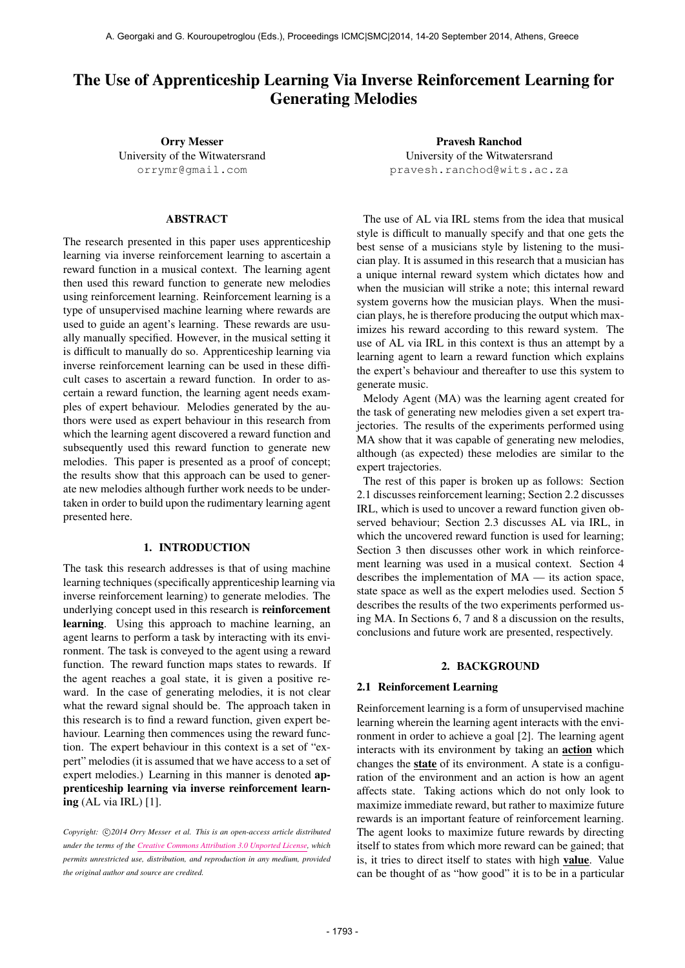# The Use of Apprenticeship Learning Via Inverse Reinforcement Learning for Generating Melodies

Orry Messer University of the Witwatersrand [orrymr@gmail.com](mailto:orrymr@gmail.com)

# ABSTRACT

The research presented in this paper uses apprenticeship learning via inverse reinforcement learning to ascertain a reward function in a musical context. The learning agent then used this reward function to generate new melodies using reinforcement learning. Reinforcement learning is a type of unsupervised machine learning where rewards are used to guide an agent's learning. These rewards are usually manually specified. However, in the musical setting it is difficult to manually do so. Apprenticeship learning via inverse reinforcement learning can be used in these difficult cases to ascertain a reward function. In order to ascertain a reward function, the learning agent needs examples of expert behaviour. Melodies generated by the authors were used as expert behaviour in this research from which the learning agent discovered a reward function and subsequently used this reward function to generate new melodies. This paper is presented as a proof of concept; the results show that this approach can be used to generate new melodies although further work needs to be undertaken in order to build upon the rudimentary learning agent presented here.

# 1. INTRODUCTION

The task this research addresses is that of using machine learning techniques (specifically apprenticeship learning via inverse reinforcement learning) to generate melodies. The underlying concept used in this research is reinforcement learning. Using this approach to machine learning, an agent learns to perform a task by interacting with its environment. The task is conveyed to the agent using a reward function. The reward function maps states to rewards. If the agent reaches a goal state, it is given a positive reward. In the case of generating melodies, it is not clear what the reward signal should be. The approach taken in this research is to find a reward function, given expert behaviour. Learning then commences using the reward function. The expert behaviour in this context is a set of "expert" melodies (it is assumed that we have access to a set of expert melodies.) Learning in this manner is denoted apprenticeship learning via inverse reinforcement learning (AL via IRL) [1].

Copyright:  $\bigcirc$ 2014 Orry Messer et al. This is an open-access article distributed *under the terms of the [Creative Commons Attribution 3.0 Unported License,](http://creativecommons.org/licenses/by/3.0/) which permits unrestricted use, distribution, and reproduction in any medium, provided the original author and source are credited.*

Pravesh Ranchod University of the Witwatersrand [pravesh.ranchod@wits.ac.za](mailto:pranchod@cs.wits.ac.za)

The use of AL via IRL stems from the idea that musical style is difficult to manually specify and that one gets the best sense of a musicians style by listening to the musician play. It is assumed in this research that a musician has a unique internal reward system which dictates how and when the musician will strike a note; this internal reward system governs how the musician plays. When the musician plays, he is therefore producing the output which maximizes his reward according to this reward system. The use of AL via IRL in this context is thus an attempt by a learning agent to learn a reward function which explains the expert's behaviour and thereafter to use this system to generate music.

Melody Agent (MA) was the learning agent created for the task of generating new melodies given a set expert trajectories. The results of the experiments performed using MA show that it was capable of generating new melodies, although (as expected) these melodies are similar to the expert trajectories.

The rest of this paper is broken up as follows: Section 2.1 discusses reinforcement learning; Section 2.2 discusses IRL, which is used to uncover a reward function given observed behaviour; Section 2.3 discusses AL via IRL, in which the uncovered reward function is used for learning: Section 3 then discusses other work in which reinforcement learning was used in a musical context. Section 4 describes the implementation of MA — its action space, state space as well as the expert melodies used. Section 5 describes the results of the two experiments performed using MA. In Sections 6, 7 and 8 a discussion on the results, conclusions and future work are presented, respectively.

# 2. BACKGROUND

### 2.1 Reinforcement Learning

Reinforcement learning is a form of unsupervised machine learning wherein the learning agent interacts with the environment in order to achieve a goal [2]. The learning agent interacts with its environment by taking an action which changes the state of its environment. A state is a configuration of the environment and an action is how an agent affects state. Taking actions which do not only look to maximize immediate reward, but rather to maximize future rewards is an important feature of reinforcement learning. The agent looks to maximize future rewards by directing itself to states from which more reward can be gained; that is, it tries to direct itself to states with high value. Value can be thought of as "how good" it is to be in a particular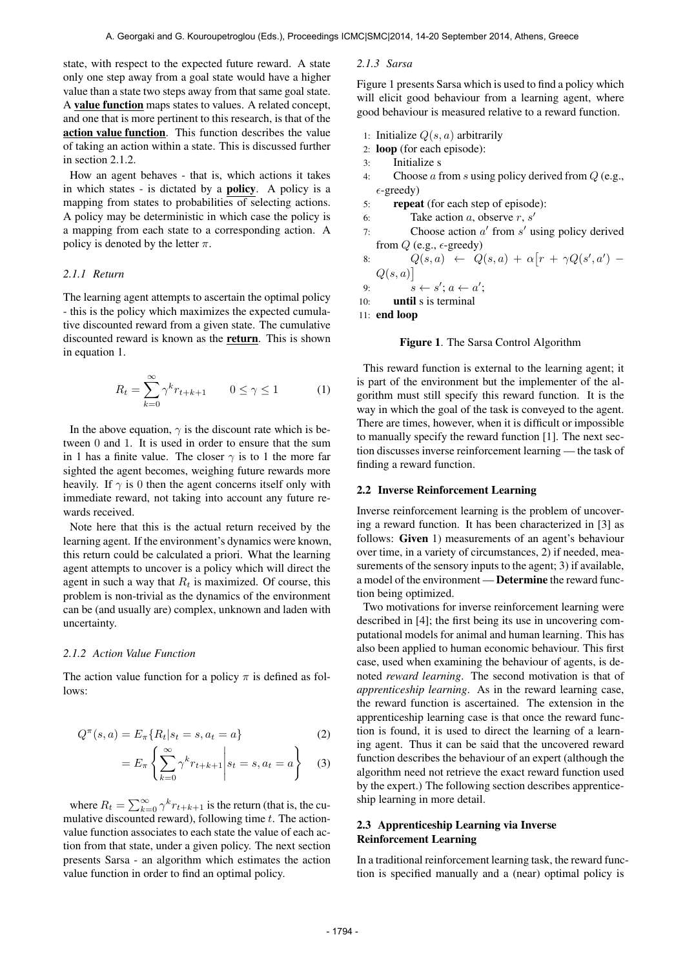state, with respect to the expected future reward. A state only one step away from a goal state would have a higher value than a state two steps away from that same goal state. A value function maps states to values. A related concept, and one that is more pertinent to this research, is that of the action value function. This function describes the value of taking an action within a state. This is discussed further in section 2.1.2.

How an agent behaves - that is, which actions it takes in which states - is dictated by a policy. A policy is a mapping from states to probabilities of selecting actions. A policy may be deterministic in which case the policy is a mapping from each state to a corresponding action. A policy is denoted by the letter  $\pi$ .

### *2.1.1 Return*

The learning agent attempts to ascertain the optimal policy - this is the policy which maximizes the expected cumulative discounted reward from a given state. The cumulative discounted reward is known as the return. This is shown in equation 1.

$$
R_t = \sum_{k=0}^{\infty} \gamma^k r_{t+k+1} \qquad 0 \le \gamma \le 1 \tag{1}
$$

In the above equation,  $\gamma$  is the discount rate which is between 0 and 1. It is used in order to ensure that the sum in 1 has a finite value. The closer  $\gamma$  is to 1 the more far sighted the agent becomes, weighing future rewards more heavily. If  $\gamma$  is 0 then the agent concerns itself only with immediate reward, not taking into account any future rewards received.

Note here that this is the actual return received by the learning agent. If the environment's dynamics were known, this return could be calculated a priori. What the learning agent attempts to uncover is a policy which will direct the agent in such a way that  $R_t$  is maximized. Of course, this problem is non-trivial as the dynamics of the environment can be (and usually are) complex, unknown and laden with uncertainty.

#### *2.1.2 Action Value Function*

The action value function for a policy  $\pi$  is defined as follows:

$$
Q^{\pi}(s, a) = E_{\pi}\{R_t|s_t = s, a_t = a\}
$$
 (2)

$$
=E_{\pi}\left\{\sum_{k=0}^{\infty}\gamma^{k}r_{t+k+1}\middle|s_{t}=s,a_{t}=a\right\}\quad(3)
$$

where  $R_t = \sum_{k=0}^{\infty} \gamma^k r_{t+k+1}$  is the return (that is, the cumulative discounted reward), following time  $t$ . The actionvalue function associates to each state the value of each action from that state, under a given policy. The next section presents Sarsa - an algorithm which estimates the action value function in order to find an optimal policy.

#### *2.1.3 Sarsa*

Figure 1 presents Sarsa which is used to find a policy which will elicit good behaviour from a learning agent, where good behaviour is measured relative to a reward function.

- 1: Initialize  $Q(s, a)$  arbitrarily
- 2: loop (for each episode):
- 3: Initialize s
- 4: Choose a from s using policy derived from  $Q$  (e.g.,  $\epsilon$ -greedy)
- 5: repeat (for each step of episode):
- 6: Take action  $a$ , observe  $r$ ,  $s'$
- 7: Choose action  $a'$  from  $s'$  using policy derived from  $Q$  (e.g.,  $\epsilon$ -greedy)
- 8:  $Q(s, a) \leftarrow Q(s, a) + \alpha [r + \gamma Q(s', a') Q(s, a)$

9: 
$$
s \leftarrow s'; a \leftarrow a';
$$

$$
10: \qquad \textbf{until } s \text{ is terminal}
$$

11: end loop

### Figure 1. The Sarsa Control Algorithm

This reward function is external to the learning agent; it is part of the environment but the implementer of the algorithm must still specify this reward function. It is the way in which the goal of the task is conveyed to the agent. There are times, however, when it is difficult or impossible to manually specify the reward function [1]. The next section discusses inverse reinforcement learning — the task of finding a reward function.

## 2.2 Inverse Reinforcement Learning

Inverse reinforcement learning is the problem of uncovering a reward function. It has been characterized in [3] as follows: Given 1) measurements of an agent's behaviour over time, in a variety of circumstances, 2) if needed, measurements of the sensory inputs to the agent; 3) if available, a model of the environment — Determine the reward function being optimized.

Two motivations for inverse reinforcement learning were described in [4]; the first being its use in uncovering computational models for animal and human learning. This has also been applied to human economic behaviour. This first case, used when examining the behaviour of agents, is denoted *reward learning*. The second motivation is that of *apprenticeship learning*. As in the reward learning case, the reward function is ascertained. The extension in the apprenticeship learning case is that once the reward function is found, it is used to direct the learning of a learning agent. Thus it can be said that the uncovered reward function describes the behaviour of an expert (although the algorithm need not retrieve the exact reward function used by the expert.) The following section describes apprenticeship learning in more detail.

### 2.3 Apprenticeship Learning via Inverse Reinforcement Learning

In a traditional reinforcement learning task, the reward function is specified manually and a (near) optimal policy is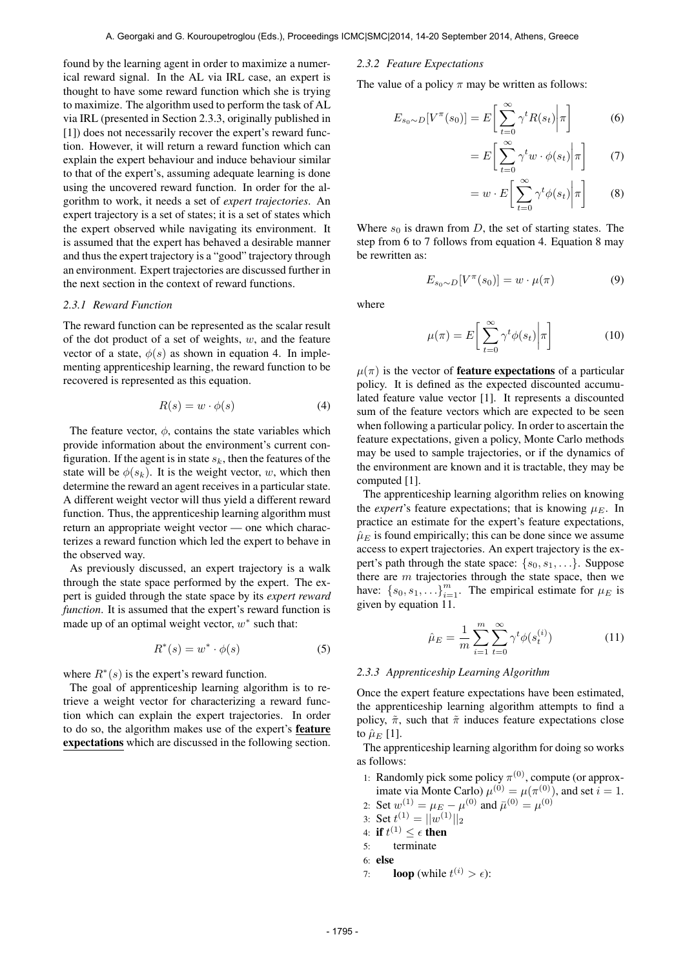found by the learning agent in order to maximize a numerical reward signal. In the AL via IRL case, an expert is thought to have some reward function which she is trying to maximize. The algorithm used to perform the task of AL via IRL (presented in Section 2.3.3, originally published in [1]) does not necessarily recover the expert's reward function. However, it will return a reward function which can explain the expert behaviour and induce behaviour similar to that of the expert's, assuming adequate learning is done using the uncovered reward function. In order for the algorithm to work, it needs a set of *expert trajectories*. An expert trajectory is a set of states; it is a set of states which the expert observed while navigating its environment. It is assumed that the expert has behaved a desirable manner and thus the expert trajectory is a "good" trajectory through an environment. Expert trajectories are discussed further in the next section in the context of reward functions.

### *2.3.1 Reward Function*

The reward function can be represented as the scalar result of the dot product of a set of weights,  $w$ , and the feature vector of a state,  $\phi(s)$  as shown in equation 4. In implementing apprenticeship learning, the reward function to be recovered is represented as this equation.

$$
R(s) = w \cdot \phi(s) \tag{4}
$$

The feature vector,  $\phi$ , contains the state variables which provide information about the environment's current configuration. If the agent is in state  $s_k$ , then the features of the state will be  $\phi(s_k)$ . It is the weight vector, w, which then determine the reward an agent receives in a particular state. A different weight vector will thus yield a different reward function. Thus, the apprenticeship learning algorithm must return an appropriate weight vector — one which characterizes a reward function which led the expert to behave in the observed way.

As previously discussed, an expert trajectory is a walk through the state space performed by the expert. The expert is guided through the state space by its *expert reward function*. It is assumed that the expert's reward function is made up of an optimal weight vector,  $w^*$  such that:

$$
R^*(s) = w^* \cdot \phi(s) \tag{5}
$$

where  $R^*(s)$  is the expert's reward function.

The goal of apprenticeship learning algorithm is to retrieve a weight vector for characterizing a reward function which can explain the expert trajectories. In order to do so, the algorithm makes use of the expert's feature expectations which are discussed in the following section.

#### *2.3.2 Feature Expectations*

The value of a policy  $\pi$  may be written as follows:

$$
E_{s_0 \sim D}[V^{\pi}(s_0)] = E\left[\sum_{t=0}^{\infty} \gamma^t R(s_t) \middle| \pi\right]
$$
 (6)

$$
= E\bigg[\sum_{t=0}^{\infty} \gamma^t w \cdot \phi(s_t) \bigg| \pi\bigg] \qquad (7)
$$

$$
= w \cdot E\left[\sum_{t=0}^{\infty} \gamma^t \phi(s_t) \middle| \pi\right]
$$
 (8)

Where  $s_0$  is drawn from D, the set of starting states. The step from 6 to 7 follows from equation 4. Equation 8 may be rewritten as:

$$
E_{s_0 \sim D}[V^{\pi}(s_0)] = w \cdot \mu(\pi) \tag{9}
$$

where

$$
\mu(\pi) = E\left[\sum_{t=0}^{\infty} \gamma^t \phi(s_t) \middle| \pi\right]
$$
\n(10)

 $\mu(\pi)$  is the vector of **feature expectations** of a particular policy. It is defined as the expected discounted accumulated feature value vector [1]. It represents a discounted sum of the feature vectors which are expected to be seen when following a particular policy. In order to ascertain the feature expectations, given a policy, Monte Carlo methods may be used to sample trajectories, or if the dynamics of the environment are known and it is tractable, they may be computed [1].

The apprenticeship learning algorithm relies on knowing the *expert*'s feature expectations; that is knowing  $\mu_E$ . In practice an estimate for the expert's feature expectations,  $\hat{\mu}_E$  is found empirically; this can be done since we assume access to expert trajectories. An expert trajectory is the expert's path through the state space:  $\{s_0, s_1, \ldots\}$ . Suppose there are  $m$  trajectories through the state space, then we have:  $\{s_0, s_1, \ldots\}_{i=1}^m$ . The empirical estimate for  $\mu_E$  is given by equation 11.

$$
\hat{\mu}_E = \frac{1}{m} \sum_{i=1}^{m} \sum_{t=0}^{\infty} \gamma^t \phi(s_t^{(i)})
$$
\n(11)

#### *2.3.3 Apprenticeship Learning Algorithm*

Once the expert feature expectations have been estimated, the apprenticeship learning algorithm attempts to find a policy,  $\tilde{\pi}$ , such that  $\tilde{\pi}$  induces feature expectations close to  $\hat{\mu}_E$  [1].

The apprenticeship learning algorithm for doing so works as follows:

1: Randomly pick some policy  $\pi^{(0)}$ , compute (or approximate via Monte Carlo)  $\mu^{(0)} = \mu(\pi^{(0)})$ , and set  $i = 1$ .

2: Set  $w^{(1)} = \mu_E - \mu^{(0)}$  and  $\bar{\mu}^{(0)} = \mu^{(0)}$ 

3: Set  $t^{(1)} = ||w^{(1)}||_2$ 

- 4: if  $t^{(1)} \leq \epsilon$  then
- 5: terminate

6: else

7: **loop** (while  $t^{(i)} > \epsilon$ ):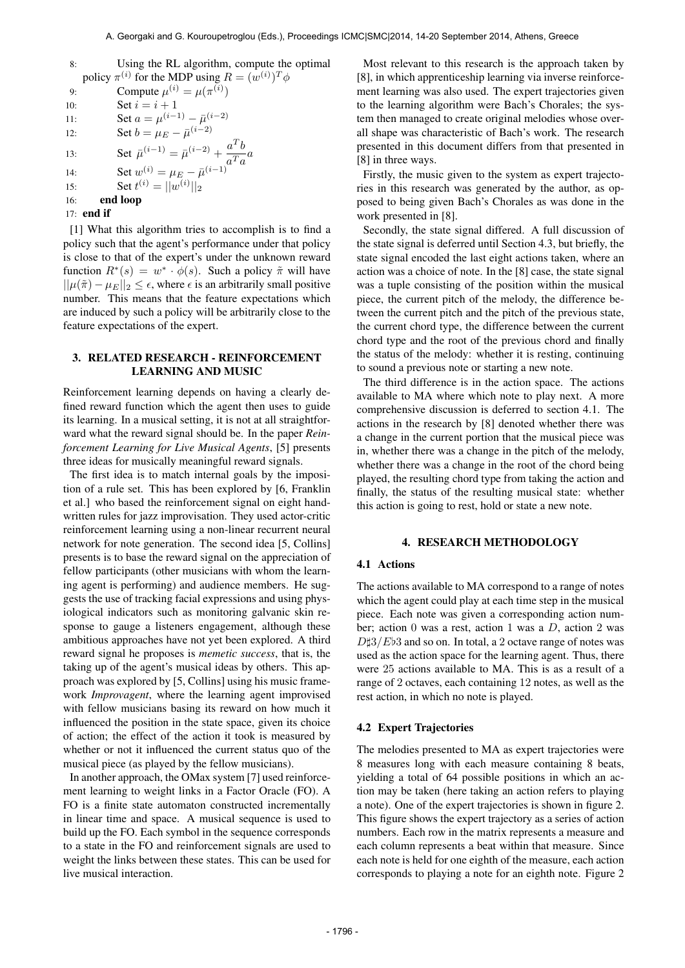| 8:  | Using the RL algorithm, compute the optimal                                                                      |
|-----|------------------------------------------------------------------------------------------------------------------|
|     | policy $\pi^{(i)}$ for the MDP using $R = (w^{(i)})^T \phi$                                                      |
| 9:  | Compute $\mu^{(i)} = \mu(\pi^{(i)})$                                                                             |
| 10: | Set $i = i + 1$                                                                                                  |
| 11: | Set $a = \mu^{(i-1)} - \bar{\mu}^{(i-2)}$                                                                        |
| 12: | Set $b = \mu_E - \bar{\mu}^{(i-2)}$                                                                              |
| 13: | Set $\bar{\mu}^{(i-1)} = \bar{\mu}^{(i-2)} + \frac{a^T b}{a^T a} a$<br>Set $w^{(i)} = \mu_E - \bar{\mu}^{(i-1)}$ |
| 14: |                                                                                                                  |
| 15: | Set $t^{(i)} =   w^{(i)}  _2$                                                                                    |
| 16: | end loop                                                                                                         |
|     | 17: <b>end if</b>                                                                                                |
|     | $\lceil 1 \rceil$ What this algorithm trips to accomplish is to find a                                           |

[1] What this algorithm tries to accomplish is to find a policy such that the agent's performance under that policy is close to that of the expert's under the unknown reward function  $R^*(s) = w^* \cdot \phi(s)$ . Such a policy  $\tilde{\pi}$  will have  $||\mu(\tilde{\pi}) - \mu_E||_2 \leq \epsilon$ , where  $\epsilon$  is an arbitrarily small positive number. This means that the feature expectations which are induced by such a policy will be arbitrarily close to the feature expectations of the expert.

# 3. RELATED RESEARCH - REINFORCEMENT LEARNING AND MUSIC

Reinforcement learning depends on having a clearly defined reward function which the agent then uses to guide its learning. In a musical setting, it is not at all straightforward what the reward signal should be. In the paper *Reinforcement Learning for Live Musical Agents*, [5] presents three ideas for musically meaningful reward signals.

The first idea is to match internal goals by the imposition of a rule set. This has been explored by [6, Franklin et al.] who based the reinforcement signal on eight handwritten rules for jazz improvisation. They used actor-critic reinforcement learning using a non-linear recurrent neural network for note generation. The second idea [5, Collins] presents is to base the reward signal on the appreciation of fellow participants (other musicians with whom the learning agent is performing) and audience members. He suggests the use of tracking facial expressions and using physiological indicators such as monitoring galvanic skin response to gauge a listeners engagement, although these ambitious approaches have not yet been explored. A third reward signal he proposes is *memetic success*, that is, the taking up of the agent's musical ideas by others. This approach was explored by [5, Collins] using his music framework *Improvagent*, where the learning agent improvised with fellow musicians basing its reward on how much it influenced the position in the state space, given its choice of action; the effect of the action it took is measured by whether or not it influenced the current status quo of the musical piece (as played by the fellow musicians).

In another approach, the OMax system [7] used reinforcement learning to weight links in a Factor Oracle (FO). A FO is a finite state automaton constructed incrementally in linear time and space. A musical sequence is used to build up the FO. Each symbol in the sequence corresponds to a state in the FO and reinforcement signals are used to weight the links between these states. This can be used for live musical interaction.

Most relevant to this research is the approach taken by [8], in which apprenticeship learning via inverse reinforcement learning was also used. The expert trajectories given to the learning algorithm were Bach's Chorales; the system then managed to create original melodies whose overall shape was characteristic of Bach's work. The research presented in this document differs from that presented in [8] in three ways.

Firstly, the music given to the system as expert trajectories in this research was generated by the author, as opposed to being given Bach's Chorales as was done in the work presented in [8].

Secondly, the state signal differed. A full discussion of the state signal is deferred until Section 4.3, but briefly, the state signal encoded the last eight actions taken, where an action was a choice of note. In the [8] case, the state signal was a tuple consisting of the position within the musical piece, the current pitch of the melody, the difference between the current pitch and the pitch of the previous state, the current chord type, the difference between the current chord type and the root of the previous chord and finally the status of the melody: whether it is resting, continuing to sound a previous note or starting a new note.

The third difference is in the action space. The actions available to MA where which note to play next. A more comprehensive discussion is deferred to section 4.1. The actions in the research by [8] denoted whether there was a change in the current portion that the musical piece was in, whether there was a change in the pitch of the melody, whether there was a change in the root of the chord being played, the resulting chord type from taking the action and finally, the status of the resulting musical state: whether this action is going to rest, hold or state a new note.

### 4. RESEARCH METHODOLOGY

### 4.1 Actions

The actions available to MA correspond to a range of notes which the agent could play at each time step in the musical piece. Each note was given a corresponding action number; action 0 was a rest, action 1 was a  $D$ , action 2 was  $D\sharp 3/Eb3$  and so on. In total, a 2 octave range of notes was used as the action space for the learning agent. Thus, there were 25 actions available to MA. This is as a result of a range of 2 octaves, each containing 12 notes, as well as the rest action, in which no note is played.

#### 4.2 Expert Trajectories

The melodies presented to MA as expert trajectories were 8 measures long with each measure containing 8 beats, yielding a total of 64 possible positions in which an action may be taken (here taking an action refers to playing a note). One of the expert trajectories is shown in figure 2. This figure shows the expert trajectory as a series of action numbers. Each row in the matrix represents a measure and each column represents a beat within that measure. Since each note is held for one eighth of the measure, each action corresponds to playing a note for an eighth note. Figure 2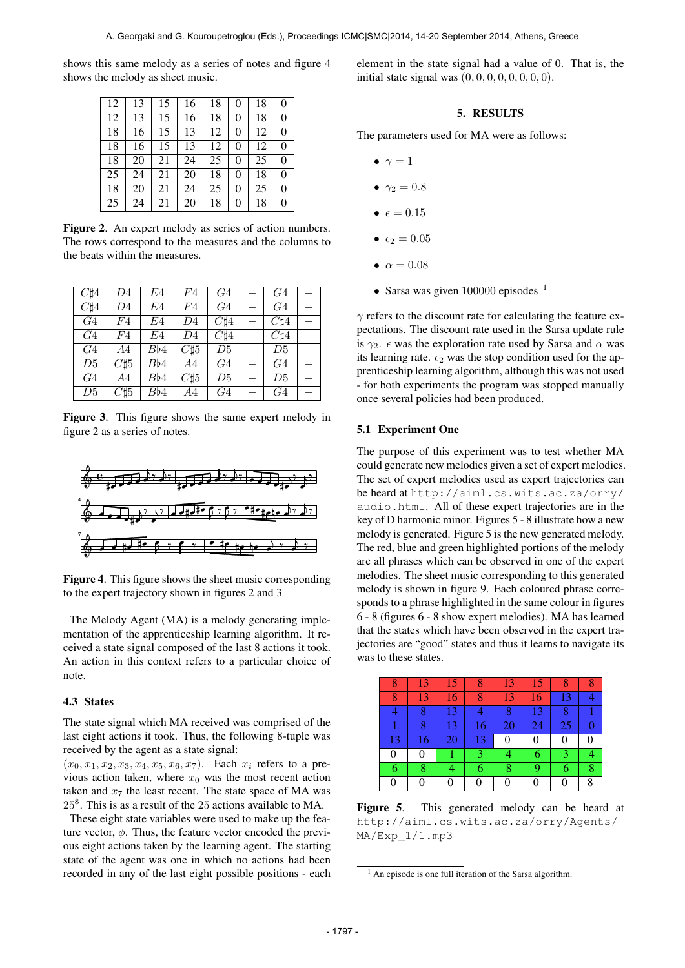shows this same melody as a series of notes and figure 4 shows the melody as sheet music.

| 12 | 13 | 15 | 16 | 18 | 0        | 18 | $\theta$       |
|----|----|----|----|----|----------|----|----------------|
| 12 | 13 | 15 | 16 | 18 | 0        | 18 | $\theta$       |
| 18 | 16 | 15 | 13 | 12 | 0        | 12 | $\overline{0}$ |
| 18 | 16 | 15 | 13 | 12 | $\theta$ | 12 | $\theta$       |
| 18 | 20 | 21 | 24 | 25 | 0        | 25 | $\theta$       |
| 25 | 24 | 21 | 20 | 18 | 0        | 18 | $\overline{0}$ |
| 18 | 20 | 21 | 24 | 25 | $\theta$ | 25 | $\theta$       |
| 25 | 24 | 21 | 20 | 18 | 0        | 18 | $\overline{0}$ |

Figure 2. An expert melody as series of action numbers. The rows correspond to the measures and the columns to the beats within the measures.

| $C\sharp 4$    | D4          | E4  | F4          | G <sub>4</sub> | G <sub>4</sub> |  |
|----------------|-------------|-----|-------------|----------------|----------------|--|
| $C\sharp 4$    | D4          | E4  | F4          | G <sub>4</sub> | G <sub>4</sub> |  |
| G4             | F4          | E4  | D4          | $C\sharp 4$    | $C\sharp 4$    |  |
| G4             | F4          | E4  | D4          | $C\sharp 4$    | $C\sharp 4$    |  |
| G <sub>4</sub> | A4          | Bb4 | $C\sharp 5$ | D5             | D5             |  |
| D5             | $C\sharp 5$ | Bb4 | A4          | G <sub>4</sub> | G <sub>4</sub> |  |
| G <sub>4</sub> | A4          | Bb4 | $C\sharp 5$ | D5             | D5             |  |
| D5             | $C\sharp 5$ | Bb4 | A4          | G4             | G4             |  |

Figure 3. This figure shows the same expert melody in figure 2 as a series of notes.



Figure 4. This figure shows the sheet music corresponding to the expert trajectory shown in figures 2 and 3

The Melody Agent (MA) is a melody generating implementation of the apprenticeship learning algorithm. It received a state signal composed of the last 8 actions it took. An action in this context refers to a particular choice of note.

## 4.3 States

The state signal which MA received was comprised of the last eight actions it took. Thus, the following 8-tuple was received by the agent as a state signal:

 $(x_0, x_1, x_2, x_3, x_4, x_5, x_6, x_7)$ . Each  $x_i$  refers to a previous action taken, where  $x_0$  was the most recent action taken and  $x_7$  the least recent. The state space of MA was 25<sup>8</sup> . This is as a result of the 25 actions available to MA.

These eight state variables were used to make up the feature vector,  $\phi$ . Thus, the feature vector encoded the previous eight actions taken by the learning agent. The starting state of the agent was one in which no actions had been recorded in any of the last eight possible positions - each element in the state signal had a value of 0. That is, the initial state signal was  $(0, 0, 0, 0, 0, 0, 0, 0)$ .

# 5. RESULTS

The parameters used for MA were as follows:

- $\bullet \ \gamma = 1$
- $\gamma_2 = 0.8$
- $\epsilon = 0.15$
- $\epsilon_2 = 0.05$
- $\alpha = 0.08$
- Sarsa was given 100000 episodes <sup>1</sup>

 $\gamma$  refers to the discount rate for calculating the feature expectations. The discount rate used in the Sarsa update rule is  $\gamma_2$ .  $\epsilon$  was the exploration rate used by Sarsa and  $\alpha$  was its learning rate.  $\epsilon_2$  was the stop condition used for the apprenticeship learning algorithm, although this was not used - for both experiments the program was stopped manually once several policies had been produced.

### 5.1 Experiment One

The purpose of this experiment was to test whether MA could generate new melodies given a set of expert melodies. The set of expert melodies used as expert trajectories can be heard at [http://aiml.cs.wits.ac.za/orry/](http://aiml.cs.wits.ac.za/orry/audio.html) [audio.html](http://aiml.cs.wits.ac.za/orry/audio.html). All of these expert trajectories are in the key of D harmonic minor. Figures 5 - 8 illustrate how a new melody is generated. Figure 5 is the new generated melody. The red, blue and green highlighted portions of the melody are all phrases which can be observed in one of the expert melodies. The sheet music corresponding to this generated melody is shown in figure 9. Each coloured phrase corresponds to a phrase highlighted in the same colour in figures 6 - 8 (figures 6 - 8 show expert melodies). MA has learned that the states which have been observed in the expert trajectories are "good" states and thus it learns to navigate its was to these states.

| Ω  | 13 | 15 | x  | 13 | 15 | 8        |   |
|----|----|----|----|----|----|----------|---|
| 8  | 13 | 16 | 8  | 13 | 16 | 13       |   |
|    | 8  | 13 |    | 8  | 13 | 8        |   |
|    | 8  | 13 | 16 | 20 | 24 | 25       |   |
| 13 | 16 | 20 | 13 | 0  | 0  | 0        |   |
| 0  | 0  |    | 3  | 4  | 6  | 3        |   |
| 6  | 8  |    | 6  | 8  | 9  | 6        | 8 |
|    | 0  | 0  | 0  |    | 0  | $\theta$ | 8 |

Figure 5. This generated melody can be heard at [http://aiml.cs.wits.ac.za/orry/Agents/](http://aiml.cs.wits.ac.za/orry/Agents/MA/Exp_1/1.mp3) [MA/Exp\\_1/1.mp3](http://aiml.cs.wits.ac.za/orry/Agents/MA/Exp_1/1.mp3)

 $<sup>1</sup>$  An episode is one full iteration of the Sarsa algorithm.</sup>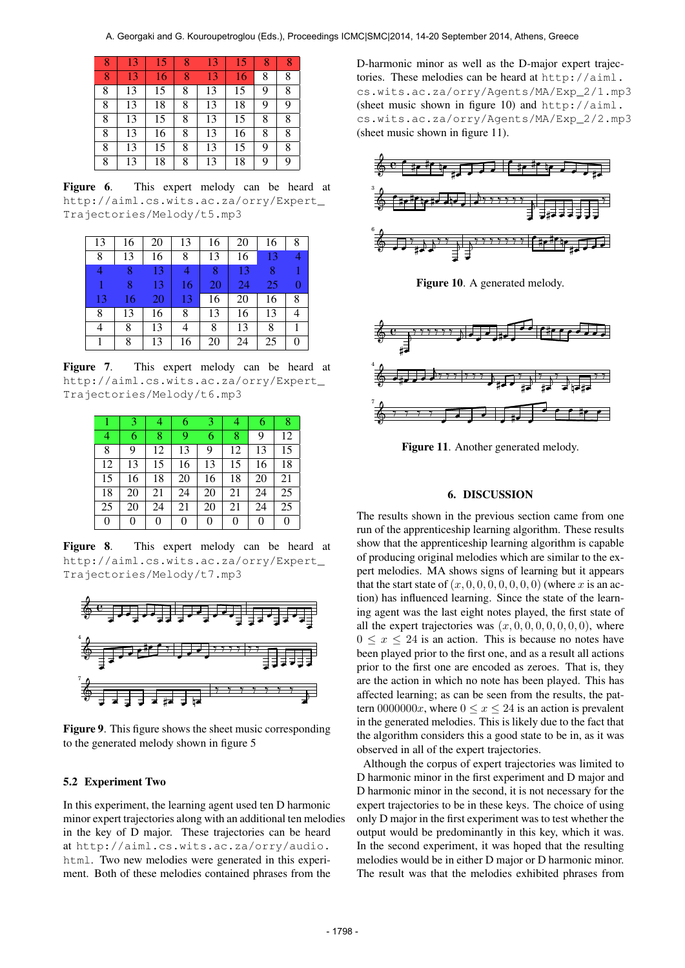| 8 | 13 | 15 | 8 | 13 | 15 | 8 |   |
|---|----|----|---|----|----|---|---|
| 8 | 13 | 16 | 8 | 13 | 16 | 8 | 8 |
| 8 | 13 | 15 | 8 | 13 | 15 | 9 | 8 |
| 8 | 13 | 18 | 8 | 13 | 18 | 9 | 9 |
| 8 | 13 | 15 | 8 | 13 | 15 | 8 | 8 |
| 8 | 13 | 16 | 8 | 13 | 16 | 8 | 8 |
| 8 | 13 | 15 | 8 | 13 | 15 | 9 | 8 |
| 8 | 13 | 18 | 8 | 13 | 18 | 9 | 9 |

Figure 6. This expert melody can be heard at [http://aiml.cs.wits.ac.za/orry/Expert\\_](http://aiml.cs.wits.ac.za/orry/Expert_Trajectories/Melody/t5.mp3) [Trajectories/Melody/t5.mp3](http://aiml.cs.wits.ac.za/orry/Expert_Trajectories/Melody/t5.mp3)

| 13 | 16 | 20 | 13 | 16 | 20 | 16 | 8 |
|----|----|----|----|----|----|----|---|
| 8  | 13 | 16 | 8  | 13 | 16 | 13 |   |
|    | 8  | 13 |    | 8  | 13 | 8  | 1 |
|    | 8  | 13 | 16 | 20 | 24 | 25 | 0 |
| 13 | 16 | 20 | 13 | 16 | 20 | 16 | 8 |
| 8  | 13 | 16 | 8  | 13 | 16 | 13 |   |
| 4  | 8  | 13 | 4  | 8  | 13 | 8  |   |
|    | 8  | 13 | 16 | 20 | 24 | 25 | 0 |

Figure 7. This expert melody can be heard at [http://aiml.cs.wits.ac.za/orry/Expert\\_](http://aiml.cs.wits.ac.za/orry/Expert_Trajectories/Melody/t6.mp3) [Trajectories/Melody/t6.mp3](http://aiml.cs.wits.ac.za/orry/Expert_Trajectories/Melody/t6.mp3)

|    | 3  | 4  | 6  | 3  | 4  | 6  | 8  |
|----|----|----|----|----|----|----|----|
| 4  | 6  | 8  | 9  | 6  | 8  | 9  | 12 |
| 8  | 9  | 12 | 13 | 9  | 12 | 13 | 15 |
| 12 | 13 | 15 | 16 | 13 | 15 | 16 | 18 |
| 15 | 16 | 18 | 20 | 16 | 18 | 20 | 21 |
| 18 | 20 | 21 | 24 | 20 | 21 | 24 | 25 |
| 25 | 20 | 24 | 21 | 20 | 21 | 24 | 25 |
| 0  | 0  | 0  | 0  | 0  | 0  | 0  | 0  |

Figure 8. This expert melody can be heard at [http://aiml.cs.wits.ac.za/orry/Expert\\_](http://aiml.cs.wits.ac.za/orry/Expert_Trajectories/Melody/t7.mp3) [Trajectories/Melody/t7.mp3](http://aiml.cs.wits.ac.za/orry/Expert_Trajectories/Melody/t7.mp3)



Figure 9. This figure shows the sheet music corresponding to the generated melody shown in figure 5

### 5.2 Experiment Two

In this experiment, the learning agent used ten D harmonic minor expert trajectories along with an additional ten melodies in the key of D major. These trajectories can be heard at [http://aiml.cs.wits.ac.za/orry/audio.](http://aiml.cs.wits.ac.za/orry/audio.html) [html](http://aiml.cs.wits.ac.za/orry/audio.html). Two new melodies were generated in this experiment. Both of these melodies contained phrases from the

D-harmonic minor as well as the D-major expert trajectories. These melodies can be heard at [http://aiml.](http://aiml.cs.wits.ac.za/orry/Agents/MA/Exp_2/1.mp3) [cs.wits.ac.za/orry/Agents/MA/Exp\\_2/1.mp3](http://aiml.cs.wits.ac.za/orry/Agents/MA/Exp_2/1.mp3) (sheet music shown in figure 10) and [http://aiml.](http://aiml.cs.wits.ac.za/orry/Agents/MA/Exp_2/2.mp3) [cs.wits.ac.za/orry/Agents/MA/Exp\\_2/2.mp3](http://aiml.cs.wits.ac.za/orry/Agents/MA/Exp_2/2.mp3) (sheet music shown in figure 11).



Figure 10. A generated melody.



Figure 11. Another generated melody.

### 6. DISCUSSION

The results shown in the previous section came from one run of the apprenticeship learning algorithm. These results show that the apprenticeship learning algorithm is capable of producing original melodies which are similar to the expert melodies. MA shows signs of learning but it appears that the start state of  $(x, 0, 0, 0, 0, 0, 0, 0)$  (where x is an action) has influenced learning. Since the state of the learning agent was the last eight notes played, the first state of all the expert trajectories was  $(x, 0, 0, 0, 0, 0, 0, 0)$ , where  $0 \leq x \leq 24$  is an action. This is because no notes have been played prior to the first one, and as a result all actions prior to the first one are encoded as zeroes. That is, they are the action in which no note has been played. This has affected learning; as can be seen from the results, the pattern 0000000x, where  $0 \le x \le 24$  is an action is prevalent in the generated melodies. This is likely due to the fact that the algorithm considers this a good state to be in, as it was observed in all of the expert trajectories.

Although the corpus of expert trajectories was limited to D harmonic minor in the first experiment and D major and D harmonic minor in the second, it is not necessary for the expert trajectories to be in these keys. The choice of using only D major in the first experiment was to test whether the output would be predominantly in this key, which it was. In the second experiment, it was hoped that the resulting melodies would be in either D major or D harmonic minor. The result was that the melodies exhibited phrases from